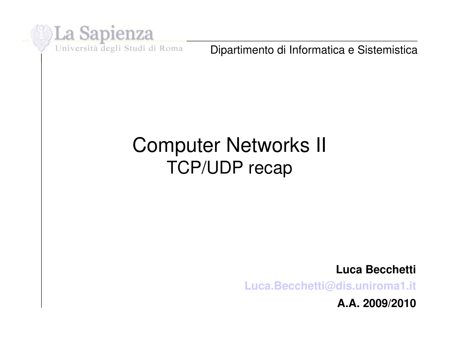

Dipartimento di Informatica e Sistemistica

#### Computer Networks II TCP/UDP recap

**Luca Becchetti**

**[Luca.Becchetti@dis.uniroma1.it](mailto:Luca.Becchetti@dis.uniroma1.it)**

**A.A. 2009/2010**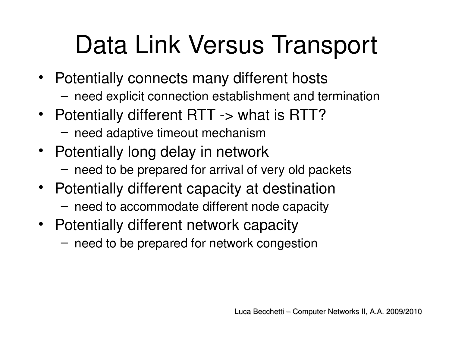## Data Link Versus Transport

- Potentially connects many different hosts
	- need explicit connection establishment and termination
- Potentially different RTT -> what is RTT?
	- need adaptive timeout mechanism
- Potentially long delay in network
	- need to be prepared for arrival of very old packets
- Potentially different capacity at destination
	- need to accommodate different node capacity
- Potentially different network capacity
	- need to be prepared for network congestion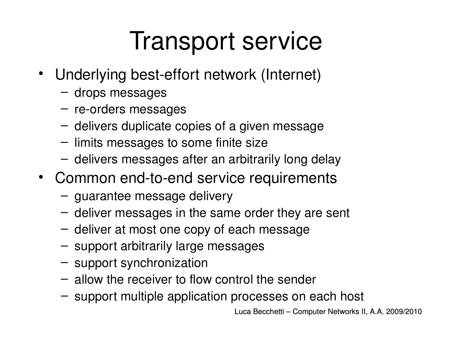### Transport service

- Underlying best-effort network (Internet)
	- drops messages
	- $-$  re-orders messages
	- delivers duplicate copies of a given message
	- limits messages to some finite size
	- delivers messages after an arbitrarily long delay
- Common end-to-end service requirements
	- guarantee message delivery
	- deliver messages in the same order they are sent
	- deliver at most one copy of each message
	- support arbitrarily large messages
	- support synchronization
	- allow the receiver to flow control the sender
	- support multiple application processes on each host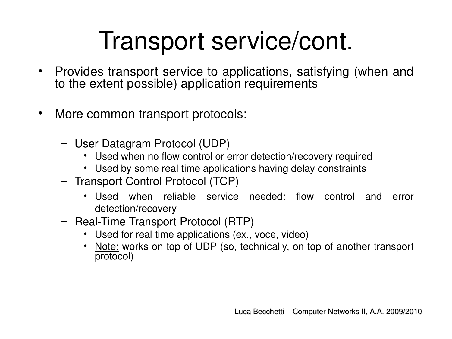#### Transport service/cont.

- Provides transport service to applications, satisfying (when and to the extent possible) application requirements
- More common transport protocols:
	- User Datagram Protocol (UDP)
		- Used when no flow control or error detection/recovery required
		- Used by some real time applications having delay constraints
	- Transport Control Protocol (TCP)
		- Used when reliable service needed: flow control and error detection/recovery
	- Real-Time Transport Protocol (RTP)
		- Used for real time applications (ex., voce, video)
		- Note: works on top of UDP (so, technically, on top of another transport protocol)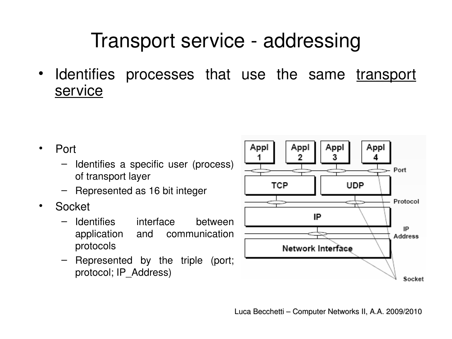#### Transport service - addressing

• Identifies processes that use the same transport service

- Port
	- Identifies a specific user (process) of transport layer
	- Represented as 16 bit integer
- Socket
	- Identifies interface between application and communication protocols
	- Represented by the triple (port; protocol; IP\_Address)

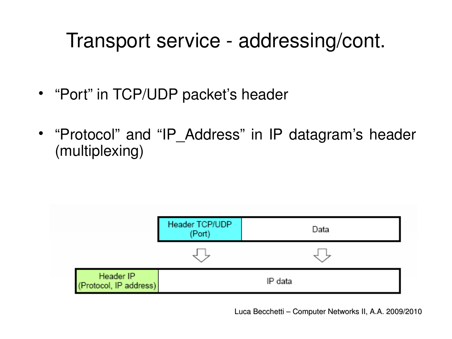#### Transport service - addressing/cont.

- "Port" in TCP/UDP packet's header
- "Protocol" and "IP\_Address" in IP datagram's header (multiplexing)



Luca Becchetti – Computer Networks II, A.A. 2009/2010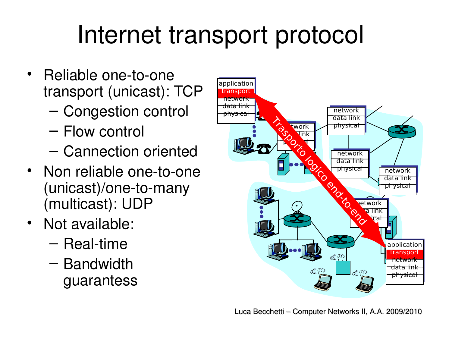#### Internet transport protocol

- Reliable one-to-one transport (unicast): TCP
	- Congestion control
	- Flow control
	- Cannection oriented
- Non reliable one-to-one  $(unicast)/one-to-many$ (multicast): UDP
- Not available:
	- $-$  Real-time
	- Bandwidth guarantess

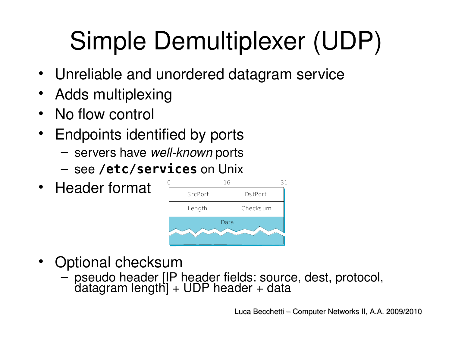## Simple Demultiplexer (UDP)

- Unreliable and unordered datagram service
- Adds multiplexing
- No flow control
- Endpoints identified by ports
	- $-$  servers have *well-known* ports
	- see **/etc/services** on Unix
- Header format



- Optional checksum
	- pseudo header [IP header fields: source, dest, protocol, datagram length] + UDP header + data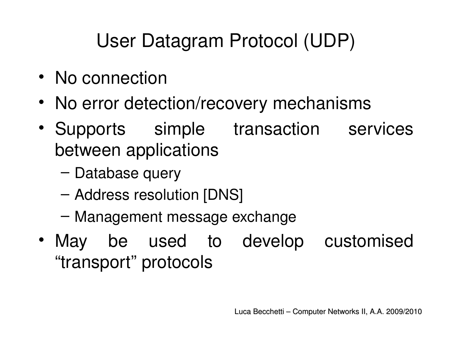#### User Datagram Protocol (UDP)

- No connection
- No error detection/recovery mechanisms
- Supports simple transaction services between applications
	- Database query
	- Address resolution [DNS]
	- Management message exchange
- May be used to develop customised "transport" protocols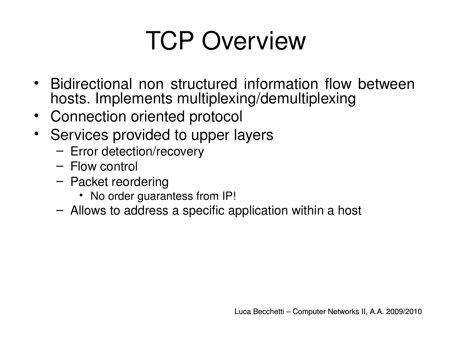#### TCP Overview

- Bidirectional non structured information flow between hosts. Implements multiplexing/demultiplexing
- Connection oriented protocol
- Services provided to upper layers
	- Error detection/recovery
	- Flow control
	- Packet reordering
		- No order guarantess from IP!
	- Allows to address a specific application within a host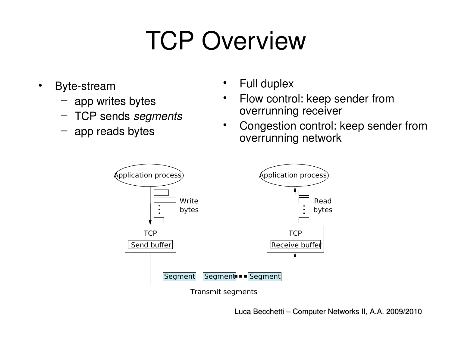### TCP Overview

- Byte-stream
	- app writes bytes
	- TCP sends *segments*
	- app reads bytes
- Full duplex
- Flow control: keep sender from overrunning receiver
- Congestion control: keep sender from overrunning network



Transmit segments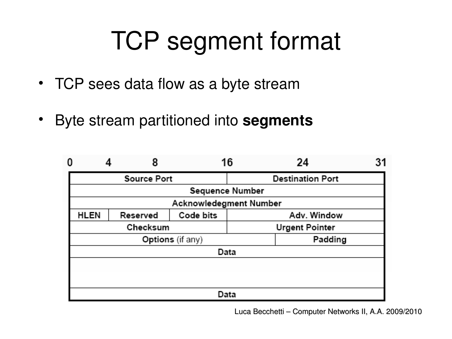#### TCP segment format

- TCP sees data flow as a byte stream
- Byte stream partitioned into **segments**

| 0                       |  | 8        |           | 16 | 24                      | 31 |
|-------------------------|--|----------|-----------|----|-------------------------|----|
| <b>Source Port</b>      |  |          |           |    | <b>Destination Port</b> |    |
| <b>Sequence Number</b>  |  |          |           |    |                         |    |
| Acknowledegment Number  |  |          |           |    |                         |    |
| HLEN                    |  | Reserved | Code bits |    | Adv. Window             |    |
| Checksum                |  |          |           |    | <b>Urgent Pointer</b>   |    |
| <b>Options</b> (if any) |  |          |           |    | Padding                 |    |
| Data                    |  |          |           |    |                         |    |
|                         |  |          |           |    |                         |    |
|                         |  |          |           |    |                         |    |
| Data                    |  |          |           |    |                         |    |

Luca Becchetti – Computer Networks II, A.A. 2009/2010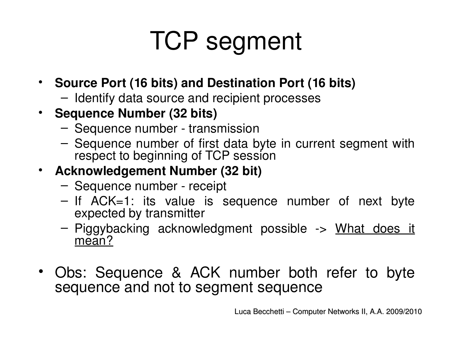- **Source Port (16 bits) and Destination Port (16 bits)**
	- Identify data source and recipient processes
- **Sequence Number (32 bits)**
	- Sequence number transmission
	- Sequence number of first data byte in current segment with respect to beginning of TCP session

#### • **Acknowledgement Number (32 bit)**

- Sequence number receipt
- If ACK=1: its value is sequence number of next byte expected by transmitter
- Piggybacking acknowledgment possible > What does it mean?
- Obs: Sequence & ACK number both refer to byte sequence and not to segment sequence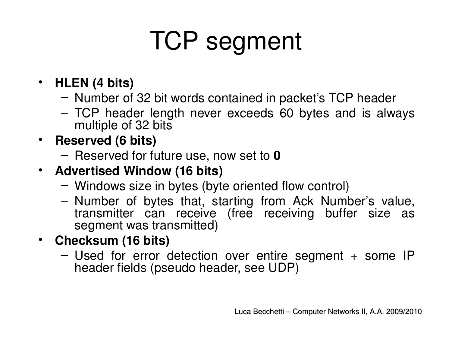- **HLEN (4 bits)**
	- Number of 32 bit words contained in packet's TCP header
	- TCP header length never exceeds 60 bytes and is always multiple of 32 bits
- **Reserved (6 bits)**
	- Reserved for future use, now set to **0**
- **Advertised Window (16 bits)**
	- Windows size in bytes (byte oriented flow control)
	- Number of bytes that, starting from Ack Number's value, transmitter can receive (free receiving buffer size as segment was transmitted)
- **Checksum (16 bits)**
	- Used for error detection over entire segment + some IP header fields (pseudo header, see UDP)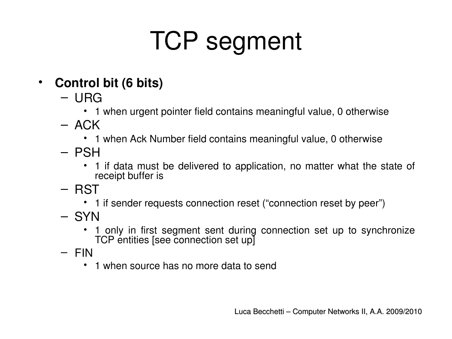#### • **Control bit (6 bits)**

- URG
	- 1 when urgent pointer field contains meaningful value, 0 otherwise
- $-$  ACK
	- 1 when Ack Number field contains meaningful value, 0 otherwise
- PSH
	- 1 if data must be delivered to application, no matter what the state of receipt buffer is
- RST
	- 1 if sender requests connection reset ("connection reset by peer")
- SYN
	- 1 only in first segment sent during connection set up to synchronize TCP entities [see connection set up]
- FIN
	- 1 when source has no more data to send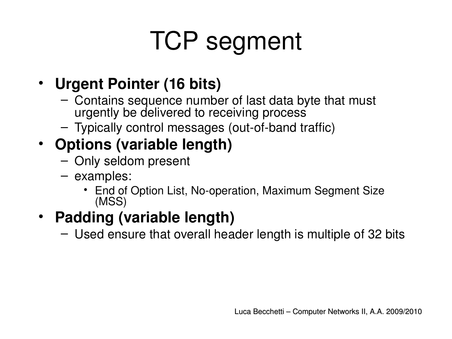#### • **Urgent Pointer (16 bits)**

- Contains sequence number of last data byte that must urgently be delivered to receiving process
- $-$  Typically control messages (out-of-band traffic)

#### • **Options (variable length)**

- Only seldom present
- examples:
	- End of Option List, No-operation, Maximum Segment Size (MSS)

#### • **Padding (variable length)**

– Used ensure that overall header length is multiple of 32 bits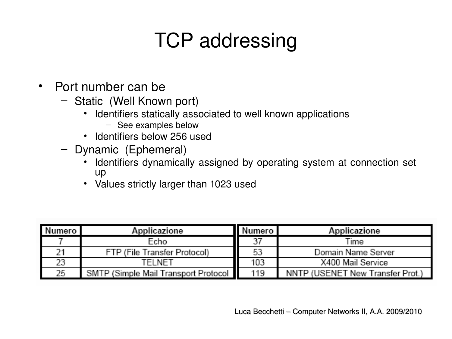#### TCP addressing

- Port number can be
	- Static (Well Known port)
		- Identifiers statically associated to well known applications
			- See examples below
		- Identifiers below 256 used
	- Dynamic (Ephemeral)
		- Identifiers dynamically assigned by operating system at connection set up
		- Values strictly larger than 1023 used

| Numero | Applicazione                         | Numero | Applicazione                     |
|--------|--------------------------------------|--------|----------------------------------|
|        | Echo                                 | 37     | Time                             |
|        | FTP (File Transfer Protocol)         | 53     | Domain Name Server               |
| 23     | TELNET                               | 103    | X400 Mail Service                |
| 25     | SMTP (Simple Mail Transport Protocol | 119    | NNTP (USENET New Transfer Prot.) |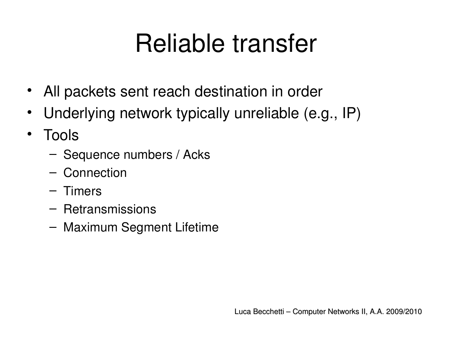#### Reliable transfer

- All packets sent reach destination in order
- Underlying network typically unreliable (e.g., IP)
- Tools
	- Sequence numbers / Acks
	- Connection
	- Timers
	- Retransmissions
	- Maximum Segment Lifetime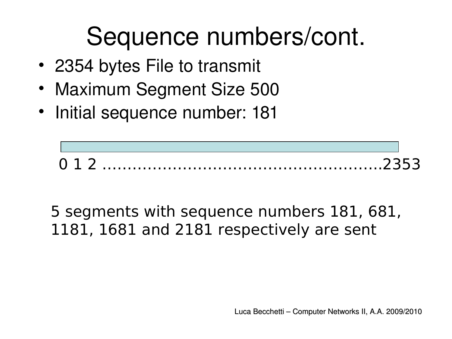#### Sequence numbers/cont.

- 2354 bytes File to transmit
- Maximum Segment Size 500
- Initial sequence number: 181



5 segments with sequence numbers 181, 681, 1181, 1681 and 2181 respectively are sent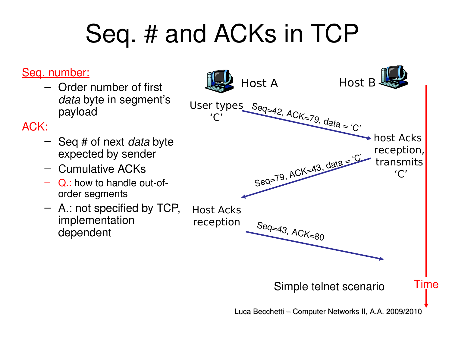### Seq. # and ACKs in TCP

#### Seq. number:

– Order number of first *data* byte in segment's payload

#### ACK:

- Seq # of next *data* byte expected by sender
- Cumulative ACKs
- $Q$ : how to handle out-oforder segments
- A.: not specified by TCP, implementation dependent

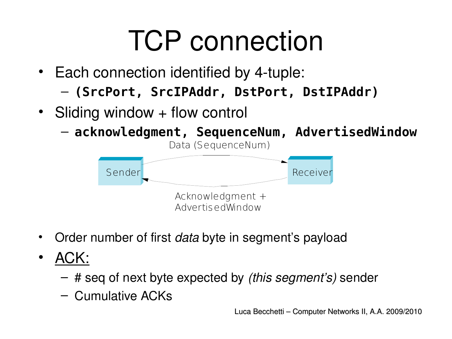## TCP connection

- $\cdot$  Each connection identified by 4-tuple:
	- **(SrcPort, SrcIPAddr, DstPort, DstIPAddr)**
- Sliding window + flow control

– **acknowledgment, SequenceNum, AdvertisedWindow**



- Order number of first *data* byte in segment's payload
- ACK:
	- # seq of next byte expected by *(this segment's)* sender
	- Cumulative ACKs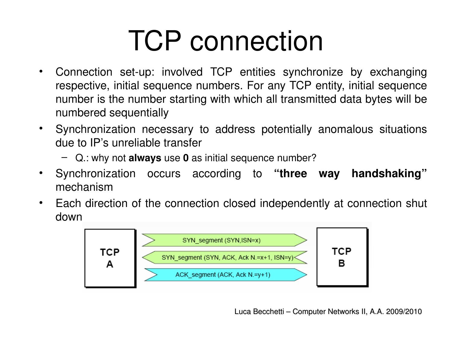## TCP connection

- Connection set-up: involved TCP entities synchronize by exchanging respective, initial sequence numbers. For any TCP entity, initial sequence number is the number starting with which all transmitted data bytes will be numbered sequentially
- Synchronization necessary to address potentially anomalous situations due to IP's unreliable transfer
	- Q.: why not **always** use **0** as initial sequence number?
- Synchronization occurs according to **"three way handshaking"** mechanism
- Each direction of the connection closed independently at connection shut down



Luca Becchetti – Computer Networks II, A.A. 2009/2010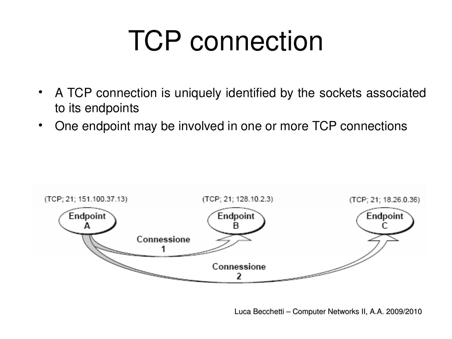# TCP connection

- A TCP connection is uniquely identified by the sockets associated to its endpoints
- One endpoint may be involved in one or more TCP connections

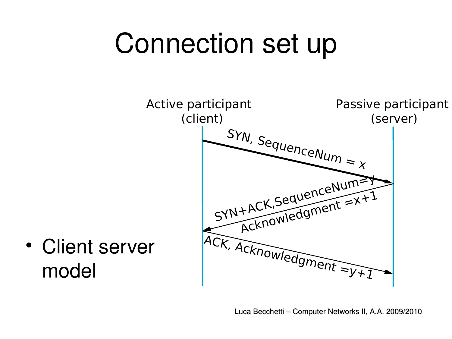## Connection set up



• Client server model

Luca Becchetti – Computer Networks II, A.A. 2009/2010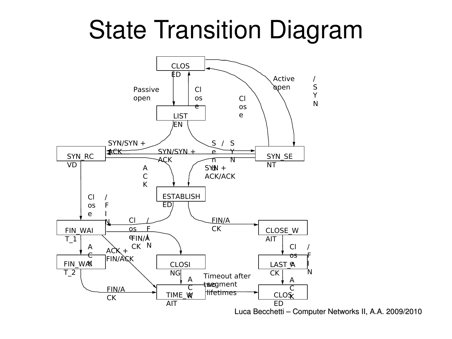State Transition Diagram



Luca Becchetti – Computer Networks II, A.A. 2009/2010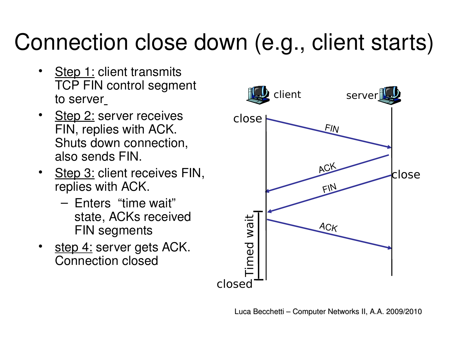#### Connection close down (e.g., client starts)

- **Step 1: client transmits** TCP FIN control segment to server
- **Step 2: server receives** FIN, replies with ACK. Shuts down connection, also sends FIN.
- Step 3: client receives FIN, replies with ACK.
	- Enters "time wait" state, ACKs received FIN segments
- step 4: server gets ACK. Connection closed

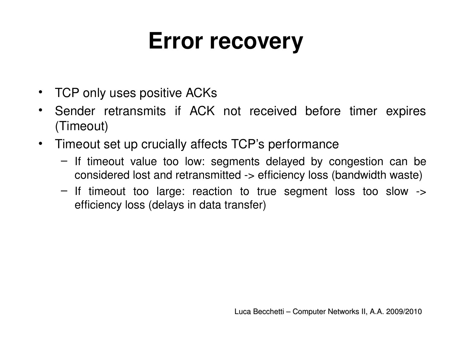#### **Error recovery**

- TCP only uses positive ACKs
- Sender retransmits if ACK not received before timer expires (Timeout)
- Timeout set up crucially affects TCP's performance
	- If timeout value too low: segments delayed by congestion can be considered lost and retransmitted > efficiency loss (bandwidth waste)
	- $-$  If timeout too large: reaction to true segment loss too slow  $\rightarrow$ efficiency loss (delays in data transfer)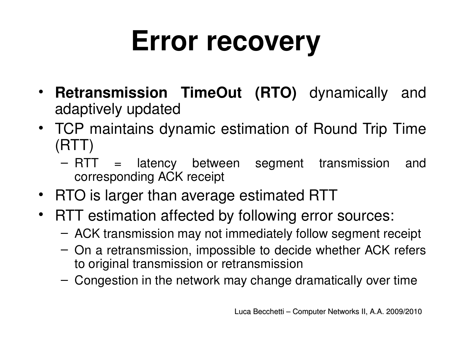# **Error recovery**

- **Retransmission TimeOut (RTO)** dynamically and adaptively updated
- TCP maintains dynamic estimation of Round Trip Time (RTT)
	- RTT = latency between segment transmission and corresponding ACK receipt
- RTO is larger than average estimated RTT
- RTT estimation affected by following error sources:
	- ACK transmission may not immediately follow segment receipt
	- On a retransmission, impossible to decide whether ACK refers to original transmission or retransmission
	- Congestion in the network may change dramatically over time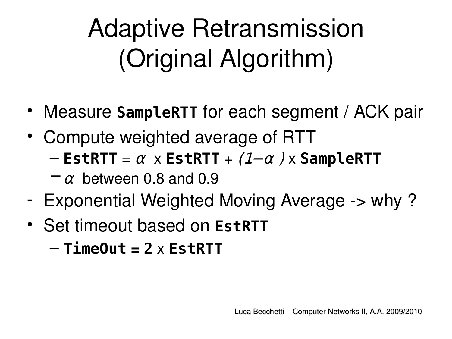## Adaptive Retransmission (Original Algorithm)

- Measure **SampleRTT** for each segment / ACK pair
- Compute weighted average of RTT

 $-$  **EstRTT** =  $\alpha$  x **EstRTT** + (1– $\alpha$ ) x **SampleRTT** 

- $-\alpha$  between 0.8 and 0.9
- Exponential Weighted Moving Average -> why?
- Set timeout based on **EstRTT**

– **TimeOut = 2** x **EstRTT**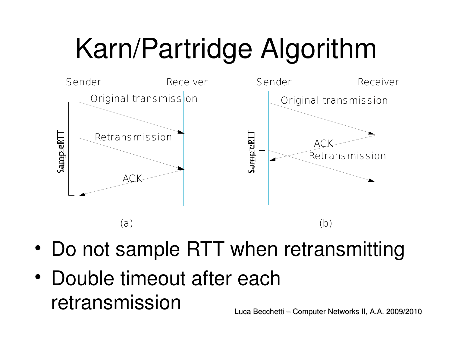# Karn/Partridge Algorithm



- Do not sample RTT when retransmitting
- Double timeout after each retransmission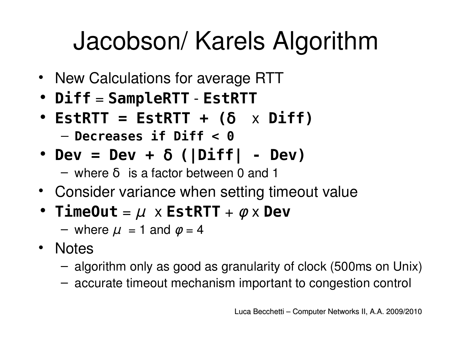### Jacobson/ Karels Algorithm

- New Calculations for average RTT
- **Diff** = **SampleRTT EstRTT**
- $\cdot$  **EstRTT = EstRTT + (** $\delta$   $\times$  Diff) – **Decreases if Diff < 0**
- **Dev = Dev +** δ **(|Diff| Dev)**

 $-$  where  $\delta$  is a factor between 0 and 1

- Consider variance when setting timeout value
- **TimeOut** =  $\mu$  x **EstRTT** +  $\phi$  x **Dev** 
	- where  $\mu$  = 1 and  $\phi$  = 4
- Notes
	- algorithm only as good as granularity of clock (500ms on Unix)
	- accurate timeout mechanism important to congestion control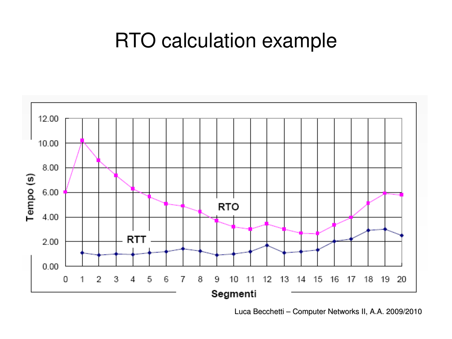#### RTO calculation example



Luca Becchetti – Computer Networks II, A.A. 2009/2010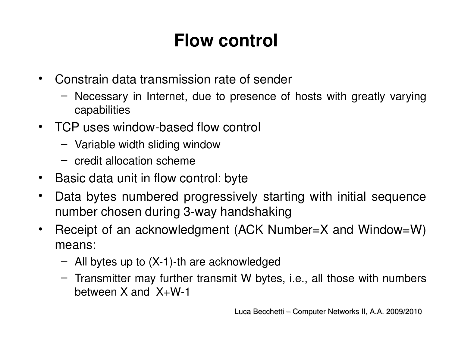#### **Flow control**

- Constrain data transmission rate of sender
	- Necessary in Internet, due to presence of hosts with greatly varying capabilities
- TCP uses window-based flow control
	- Variable width sliding window
	- credit allocation scheme
- Basic data unit in flow control: byte
- Data bytes numbered progressively starting with initial sequence number chosen during 3-way handshaking
- Receipt of an acknowledgment (ACK Number=X and Window=W) means:
	- $-$  All bytes up to  $(X-1)$ -th are acknowledged
	- Transmitter may further transmit W bytes, i.e., all those with numbers between  $X$  and  $X+W-1$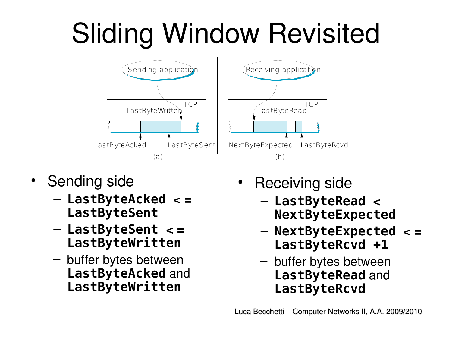# Sliding Window Revisited



- Sending side
	- **LastByteAcked < = LastByteSent**
	- **LastByteSent < = LastByteWritten**
	- buffer bytes between **LastByteAcked** and **LastByteWritten**
- Receiving side
	- **LastByteRead < NextByteExpected**
	- **NextByteExpected < = LastByteRcvd +1**
	- buffer bytes between **LastByteRead** and **LastByteRcvd**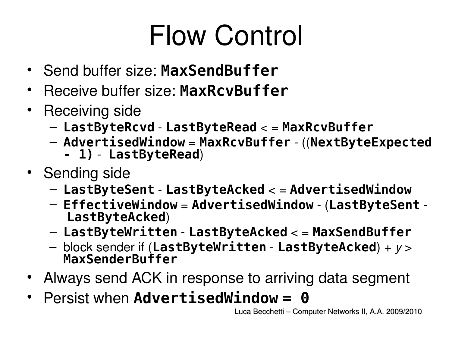## Flow Control

- Send buffer size: **MaxSendBuffer**
- Receive buffer size: **MaxRcvBuffer**
- Receiving side
	- **LastByteRcvd LastByteRead** < = **MaxRcvBuffer**
	- **AdvertisedWindow** = **MaxRcvBuffer** ((**NextByteExpected** 
		- **1) LastByteRead**)
- Sending side
	- **LastByteSent LastByteAcked** < = **AdvertisedWindow**
	- **EffectiveWindow** = **AdvertisedWindow** (**LastByteSent LastByteAcked**)
	- **LastByteWritten LastByteAcked** < = **MaxSendBuffer**
	- block sender if (**LastByteWritten LastByteAcked**) + *y* > **MaxSenderBuffer**
- Always send ACK in response to arriving data segment
- Persist when **AdvertisedWindow = 0**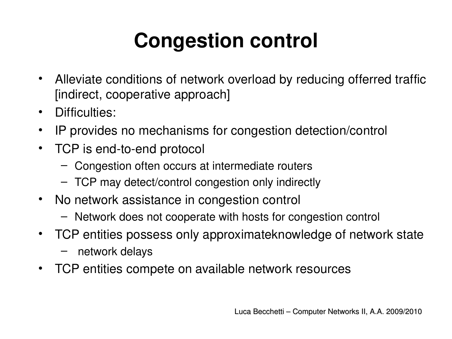#### **Congestion control**

- Alleviate conditions of network overload by reducing offerred traffic [indirect, cooperative approach]
- Difficulties:
- IP provides no mechanisms for congestion detection/control
- TCP is end-to-end protocol
	- Congestion often occurs at intermediate routers
	- TCP may detect/control congestion only indirectly
- No network assistance in congestion control
	- Network does not cooperate with hosts for congestion control
- TCP entities possess only approximateknowledge of network state
	- network delays
- TCP entities compete on available network resources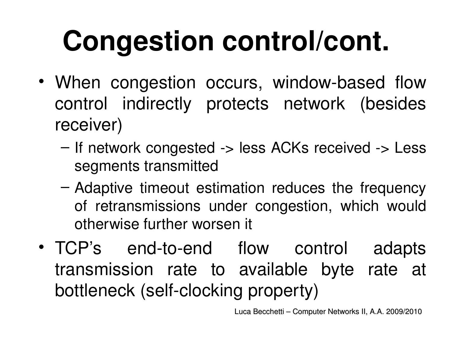# **Congestion control/cont.**

- When congestion occurs, window-based flow control indirectly protects network (besides receiver)
	- If network congested -> less ACKs received -> Less segments transmitted
	- Adaptive timeout estimation reduces the frequency of retransmissions under congestion, which would otherwise further worsen it
- TCP's end-to-end flow control adapts transmission rate to available byte rate at bottleneck (self-clocking property)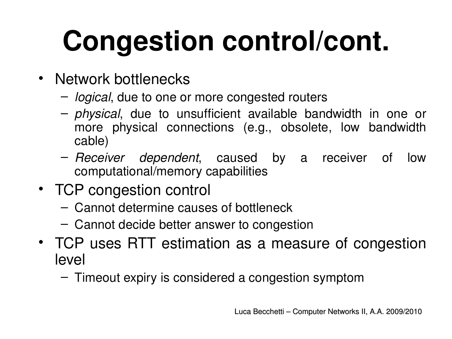# **Congestion control/cont.**

- Network bottlenecks
	- *logical*, due to one or more congested routers
	- *physical*, due to unsufficient available bandwidth in one or more physical connections (e.g., obsolete, low bandwidth cable)
	- *Receiver dependent*, caused by a receiver of low computational/memory capabilities
- TCP congestion control
	- Cannot determine causes of bottleneck
	- Cannot decide better answer to congestion
- TCP uses RTT estimation as a measure of congestion level
	- Timeout expiry is considered a congestion symptom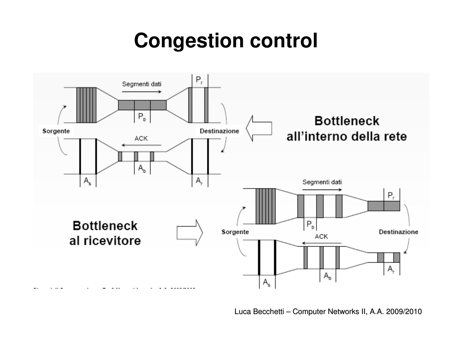#### **Congestion control**



Luca Becchetti – Computer Networks II, A.A. 2009/2010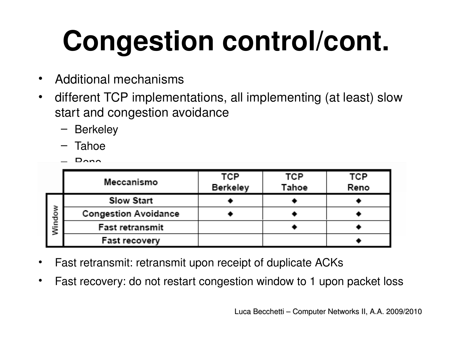# **Congestion control/cont.**

- Additional mechanisms
- different TCP implementations, all implementing (at least) slow start and congestion avoidance
	- Berkeley
	- Tahoe
	- $D_{\Omega}$

|        | Meccanismo                  | TCP<br>Berkeley | TCP<br>Tahoe | TCP<br>Reno |
|--------|-----------------------------|-----------------|--------------|-------------|
| Window | <b>Slow Start</b>           |                 |              |             |
|        | <b>Congestion Avoidance</b> |                 |              |             |
|        | Fast retransmit             |                 |              |             |
|        | <b>Fast recovery</b>        |                 |              |             |

- Fast retransmit: retransmit upon receipt of duplicate ACKs
- Fast recovery: do not restart congestion window to 1 upon packet loss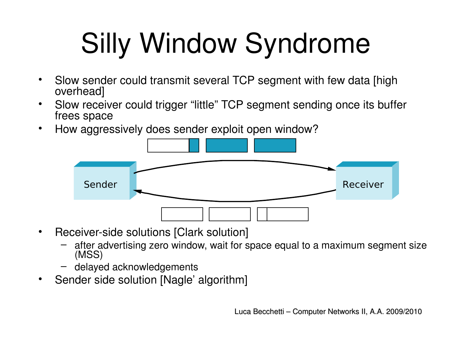# Silly Window Syndrome

- Slow sender could transmit several TCP segment with few data [high overhead]
- Slow receiver could trigger "little" TCP segment sending once its buffer frees space
- How aggressively does sender exploit open window?



- Receiver-side solutions [Clark solution]
	- after advertising zero window, wait for space equal to a maximum segment size (MSS)
	- delayed acknowledgements
- Sender side solution [Nagle' algorithm]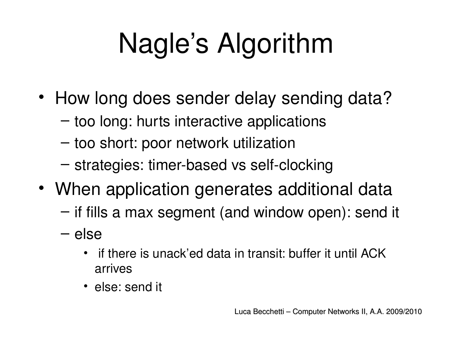# Nagle's Algorithm

- How long does sender delay sending data?
	- too long: hurts interactive applications
	- too short: poor network utilization
	- $-$  strategies: timer-based vs self-clocking
- When application generates additional data
	- if fills a max segment (and window open): send it
	- else
		- if there is unack'ed data in transit: buffer it until ACK arrives
		- else: send it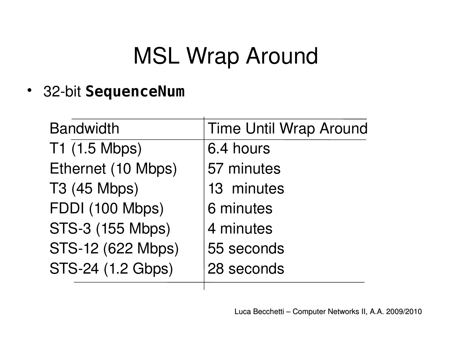#### MSL Wrap Around

• 32-bit **SequenceNum** 

| <b>Bandwidth</b>        | <b>Time Until Wrap Around</b> |
|-------------------------|-------------------------------|
| T1 (1.5 Mbps)           | 6.4 hours                     |
| Ethernet (10 Mbps)      | 57 minutes                    |
| T3 (45 Mbps)            | 13 minutes                    |
| FDDI (100 Mbps)         | 6 minutes                     |
| <b>STS-3 (155 Mbps)</b> | 4 minutes                     |
| STS-12 (622 Mbps)       | 55 seconds                    |
| STS-24 (1.2 Gbps)       | 28 seconds                    |
|                         |                               |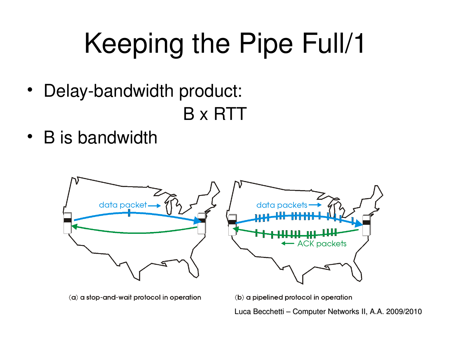# Keeping the Pipe Full/1

• Delay-bandwidth product:

B x RTT

• B is bandwidth



(a) a stop-and-wait protocol in operation

(b) a pipelined protocol in operation

Luca Becchetti – Computer Networks II, A.A. 2009/2010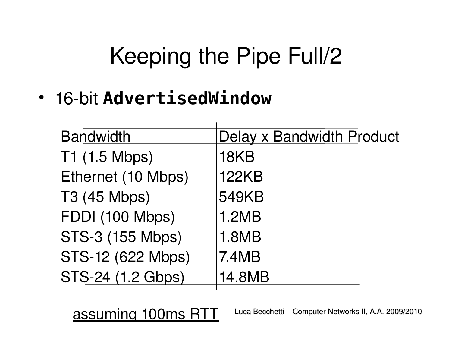#### Keeping the Pipe Full/2

• 16-bit **AdvertisedWindow** 

| <b>Bandwidth</b>        | Delay x Bandwidth Product |
|-------------------------|---------------------------|
| T1 (1.5 Mbps)           | 18KB                      |
| Ethernet (10 Mbps)      | <b>122KB</b>              |
| T3 (45 Mbps)            | <b>549KB</b>              |
| FDDI (100 Mbps)         | 1.2MB                     |
| <b>STS-3 (155 Mbps)</b> | <b>1.8MB</b>              |
| STS-12 (622 Mbps)       | 7.4MB                     |
| STS-24 (1.2 Gbps)       | 14.8MB                    |
|                         |                           |

assuming 100ms RTT